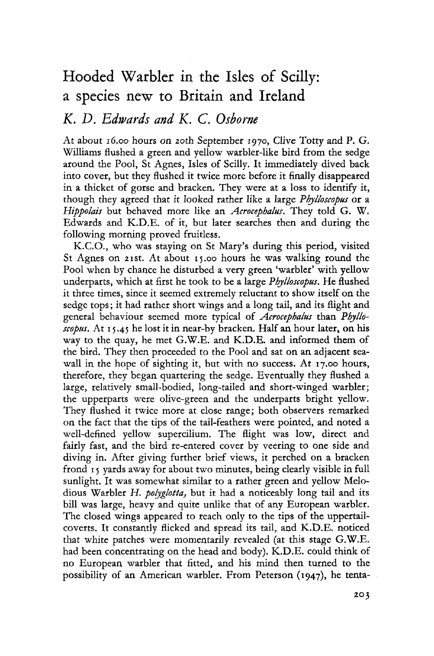## Hooded Warbler in the Isles of Scilly: a species new to Britain and Ireland

## *K. D, Edwards and K. C. Osborne*

At about 16.00 hours on 20th September 1970, Clive Totty and P. G. Williams flushed a green and yellow warbler-like bird from the sedge around the Pool, St Agnes, Isles of Scilly. It immediately dived back into cover, but they flushed it twice more before it finally disappeared in a thicket of gorse and bracken. They were at a loss to identify it, though they agreed that it looked rather like a large *Phylloscopus* or a *Hippolais* but behaved more like an *Acrocepbalus.* They told G. W. Edwards and K.D.E. of it, but later searches then and during the following morning proved fruitless.

K.C.O., who was staying on St Mary's during this period, visited St Agnes on 21st. At about 15.00 hours he was walking round the Pool when by chance he disturbed a very green 'warbler' with yellow underparts, which at first he took to be a large *Phylkscopus.* He flushed it three times, since it seemed extremely reluctant to show itself on the sedge tops; it had rather short wings and a long tail, and its flight and general behaviour seemed more typical of *Acrocepbalus* than *Phylkscopus.* At 15.45 he lost it in near-by bracken. Half an hour later, on his way to the quay, he met G.W.E. and K.D.E. and informed them of the bird. They then proceeded to the Pool and sat on an adjacent seawall in the hope of sighting it, but with no success. At 17.00 hours, therefore, they began quartering the sedge. Eventually they flushed a large, relatively small-bodied, long-tailed and short-winged warbler; the upperparts were olive-green and the underparts bright yellow. They flushed it twice more at close range; both observers remarked on the fact that the tips of the tail-feathers were pointed, and noted a well-defined yellow supercilium. The flight was low, direct and fairly fast, and the bird re-entered cover by veering to one side and diving in. After giving further brief views, it perched on a bracken frond 15 yards away for about two minutes, being clearly visible in full sunlight. It was somewhat similar to a rather green and yellow Melodious Warbler *H. polyglotta,* but it had a noticeably long tail and its bill was large, heavy and quite unlike that of any European warbler. The closed wings appeared to reach only to the tips of the uppertailcoverts. It constantly flicked and spread its tail, and K.D.E. noticed that white patches were momentarily revealed (at this stage G.W.E. had been concentrating on the head and body). K.D.E. could think of no European warbler that fitted, and his mind then turned to the possibility of an American warbler. From Peterson (1947), he tenta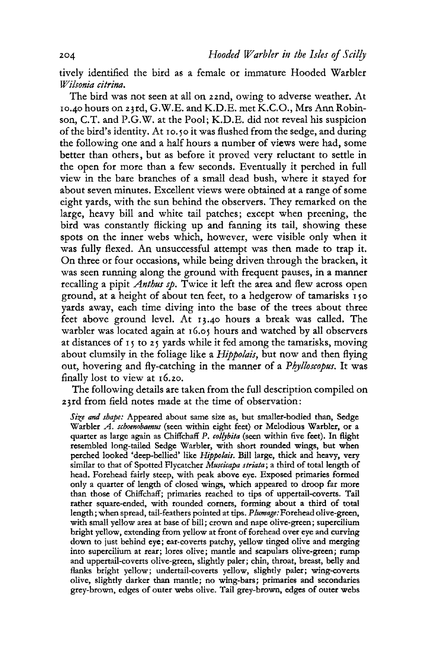tively identified the bird as a female or immature Hooded Warbler *Wilsonia citrina.* 

The bird was not seen at all on 22nd, owing to adverse weather. At 10.40 hours on 23rd, G.W.E. and K.D.E. met K.C.O., Mrs Ann Robinson, C.T. and P.G.W. at the Pool; K.D.E. did not reveal his suspicion of the bird's identity. At 10.50 it was flushed from the sedge, and during the following one and a half hours a number of views were had, some better than others, but as before it proved very reluctant to settle in the open for more than a few seconds. Eventually it perched in full view in the bare branches of a small dead bush, where it stayed for about seven minutes. Excellent views were obtained at a range of some eight yards, with the sun behind the observers. They remarked on the large, heavy bill and white tail patches; except when preening, the bird was constantly flicking up and fanning its tail, showing these spots on the inner webs which, however, were visible only when it was fully flexed. An unsuccessful attempt was then made to trap it. On three or four occasions, while being driven through the bracken, it was seen running along the ground with frequent pauses, in a manner recalling a pipit *Anthus sp.* Twice it left the area and flew across open ground, at a height of about ten feet, to a hedgerow of tamarisks 150 yards away, each time diving into the base of the trees about three feet above ground level. At 13.40 hours a break was called. The warbler was located again at 16.05 hours and watched by all observers at distances of 15 to 25 yards while it fed among the tamarisks, moving about clumsily in the foliage like a *Hippolais,* but now and then flying out, hovering and fly-catching in the manner of a *Pbylloscopus.* It was finally lost to view at 16.20.

The following details are taken from the full description compiled on 23rd from field notes made at the time of observation:

*Size and shape:* Appeared about same size as, but smaller-bodied than, Sedge Warbler *A. schoenobaenus* (seen within eight feet) or Melodious Warbler, or a quarter as large again as Chiffchaff *P. collybita* (seen within five feet). In flight resembled long-tailed Sedge Warbler, with short rounded wings, but when perched looked 'deep-bellied' like *Hippolais.* Bill large, thick and heavy, very similar to that of Spotted Flycatcher *Muscicapa striata;* a third of total length of head. Forehead fairly steep, with peak above eye. Exposed primaries formed only a quarter of length of closed wings, which appeared to droop far more than those of Chiffchaff; primaries reached to tips of uppertail-coverts. Tail rather square-ended, with rounded corners, forming about a third of total length; when spread, tail-feathers pointed at tips. *Plumage:*Forehead olive-green, with small yellow area at base of bill; crown and nape olive-green; supercilium bright yellow, extending from yellow at front of forehead over eye and curving down to just behind eye; ear-coverts patchy, yellow tinged olive and merging into supercilium at rear; lores olive; mantle and scapulars olive-green; rump and uppertail-coverts olive-green, slightly paler; chin, throat, breast, belly and flanks bright yellow; undertail-coverts yellow, slightly paler; wing-coverts olive, slightly darker than mantle; no wing-bars; primaries and secondaries grey-brown, edges of outer webs olive. Tail grey-brown, edges of outer webs